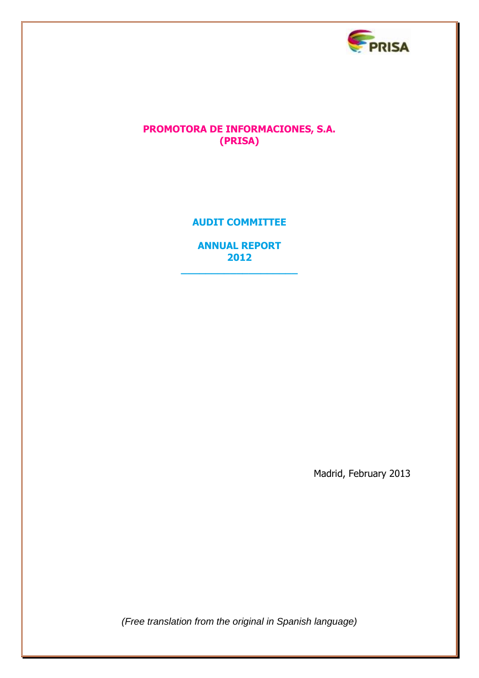

## **PROMOTORA DE INFORMACIONES, S.A. (PRISA)**

# **AUDIT COMMITTEE**

**ANNUAL REPORT 2012**

**\_\_\_\_\_\_\_\_\_\_\_\_\_\_\_\_\_\_\_**

Madrid, February 2013

*(Free translation from the original in Spanish language)*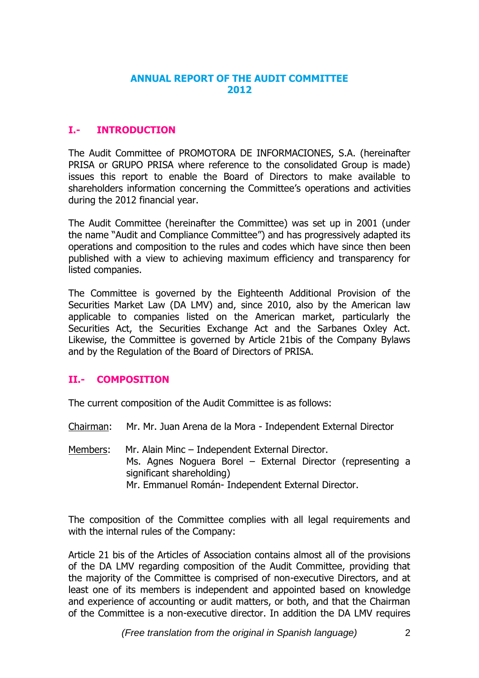### **ANNUAL REPORT OF THE AUDIT COMMITTEE 2012**

## **I.- INTRODUCTION**

The Audit Committee of PROMOTORA DE INFORMACIONES, S.A. (hereinafter PRISA or GRUPO PRISA where reference to the consolidated Group is made) issues this report to enable the Board of Directors to make available to shareholders information concerning the Committee's operations and activities during the 2012 financial year.

The Audit Committee (hereinafter the Committee) was set up in 2001 (under the name "Audit and Compliance Committee") and has progressively adapted its operations and composition to the rules and codes which have since then been published with a view to achieving maximum efficiency and transparency for listed companies.

The Committee is governed by the Eighteenth Additional Provision of the Securities Market Law (DA LMV) and, since 2010, also by the American law applicable to companies listed on the American market, particularly the Securities Act, the Securities Exchange Act and the Sarbanes Oxley Act. Likewise, the Committee is governed by Article 21bis of the Company Bylaws and by the Regulation of the Board of Directors of PRISA.

#### **II.- COMPOSITION**

The current composition of the Audit Committee is as follows:

Chairman: Mr. Mr. Juan Arena de la Mora - Independent External Director

Members: Mr. Alain Minc – Independent External Director. Ms. Agnes Noguera Borel – External Director (representing a significant shareholding) Mr. Emmanuel Román- Independent External Director.

The composition of the Committee complies with all legal requirements and with the internal rules of the Company:

Article 21 bis of the Articles of Association contains almost all of the provisions of the DA LMV regarding composition of the Audit Committee, providing that the majority of the Committee is comprised of non-executive Directors, and at least one of its members is independent and appointed based on knowledge and experience of accounting or audit matters, or both, and that the Chairman of the Committee is a non-executive director. In addition the DA LMV requires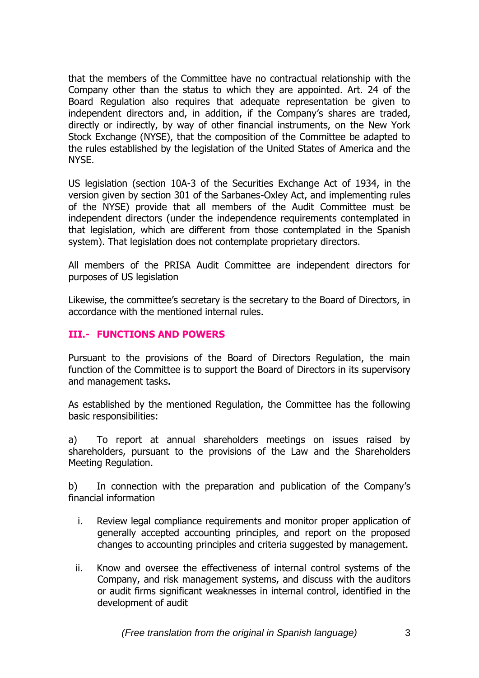that the members of the Committee have no contractual relationship with the Company other than the status to which they are appointed. Art. 24 of the Board Regulation also requires that adequate representation be given to independent directors and, in addition, if the Company's shares are traded, directly or indirectly, by way of other financial instruments, on the New York Stock Exchange (NYSE), that the composition of the Committee be adapted to the rules established by the legislation of the United States of America and the NYSE.

US legislation (section 10A-3 of the Securities Exchange Act of 1934, in the version given by section 301 of the Sarbanes-Oxley Act, and implementing rules of the NYSE) provide that all members of the Audit Committee must be independent directors (under the independence requirements contemplated in that legislation, which are different from those contemplated in the Spanish system). That legislation does not contemplate proprietary directors.

All members of the PRISA Audit Committee are independent directors for purposes of US legislation

Likewise, the committee's secretary is the secretary to the Board of Directors, in accordance with the mentioned internal rules.

### **III.- FUNCTIONS AND POWERS**

Pursuant to the provisions of the Board of Directors Regulation, the main function of the Committee is to support the Board of Directors in its supervisory and management tasks.

As established by the mentioned Regulation, the Committee has the following basic responsibilities:

a) To report at annual shareholders meetings on issues raised by shareholders, pursuant to the provisions of the Law and the Shareholders Meeting Regulation.

b) In connection with the preparation and publication of the Company's financial information

- i. Review legal compliance requirements and monitor proper application of generally accepted accounting principles, and report on the proposed changes to accounting principles and criteria suggested by management.
- ii. Know and oversee the effectiveness of internal control systems of the Company, and risk management systems, and discuss with the auditors or audit firms significant weaknesses in internal control, identified in the development of audit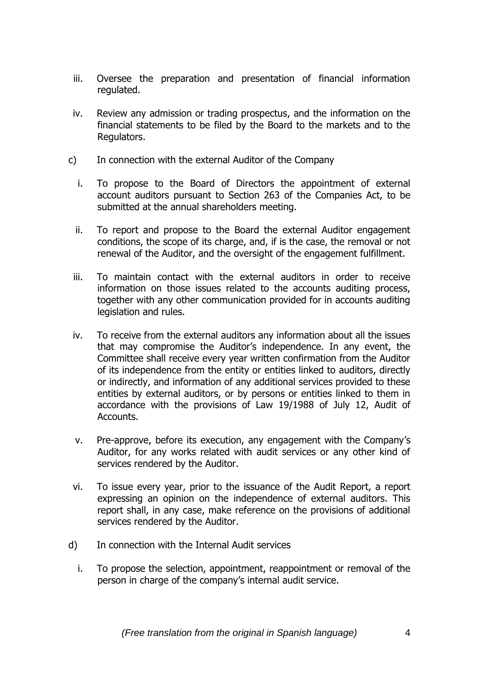- iii. Oversee the preparation and presentation of financial information regulated.
- iv. Review any admission or trading prospectus, and the information on the financial statements to be filed by the Board to the markets and to the Regulators.
- c) In connection with the external Auditor of the Company
	- i. To propose to the Board of Directors the appointment of external account auditors pursuant to Section 263 of the Companies Act, to be submitted at the annual shareholders meeting.
	- ii. To report and propose to the Board the external Auditor engagement conditions, the scope of its charge, and, if is the case, the removal or not renewal of the Auditor, and the oversight of the engagement fulfillment.
	- iii. To maintain contact with the external auditors in order to receive information on those issues related to the accounts auditing process, together with any other communication provided for in accounts auditing legislation and rules.
- iv. To receive from the external auditors any information about all the issues that may compromise the Auditor's independence. In any event, the Committee shall receive every year written confirmation from the Auditor of its independence from the entity or entities linked to auditors, directly or indirectly, and information of any additional services provided to these entities by external auditors, or by persons or entities linked to them in accordance with the provisions of Law 19/1988 of July 12, Audit of Accounts.
- v. Pre-approve, before its execution, any engagement with the Company's Auditor, for any works related with audit services or any other kind of services rendered by the Auditor.
- vi. To issue every year, prior to the issuance of the Audit Report, a report expressing an opinion on the independence of external auditors. This report shall, in any case, make reference on the provisions of additional services rendered by the Auditor.
- d) In connection with the Internal Audit services
	- i. To propose the selection, appointment, reappointment or removal of the person in charge of the company's internal audit service.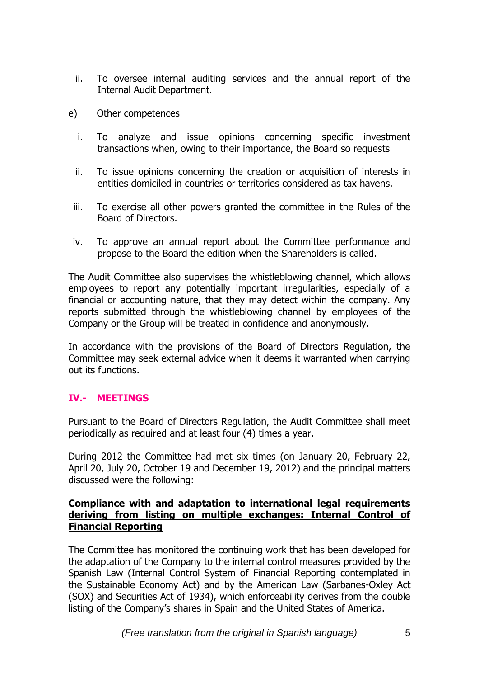- ii. To oversee internal auditing services and the annual report of the Internal Audit Department.
- e) Other competences
	- i. To analyze and issue opinions concerning specific investment transactions when, owing to their importance, the Board so requests
	- ii. To issue opinions concerning the creation or acquisition of interests in entities domiciled in countries or territories considered as tax havens.
	- iii. To exercise all other powers granted the committee in the Rules of the Board of Directors.
- iv. To approve an annual report about the Committee performance and propose to the Board the edition when the Shareholders is called.

The Audit Committee also supervises the whistleblowing channel, which allows employees to report any potentially important irregularities, especially of a financial or accounting nature, that they may detect within the company. Any reports submitted through the whistleblowing channel by employees of the Company or the Group will be treated in confidence and anonymously.

In accordance with the provisions of the Board of Directors Regulation, the Committee may seek external advice when it deems it warranted when carrying out its functions.

# **IV.- MEETINGS**

Pursuant to the Board of Directors Regulation, the Audit Committee shall meet periodically as required and at least four (4) times a year.

During 2012 the Committee had met six times (on January 20, February 22, April 20, July 20, October 19 and December 19, 2012) and the principal matters discussed were the following:

#### **Compliance with and adaptation to international legal requirements deriving from listing on multiple exchanges: Internal Control of Financial Reporting**

The Committee has monitored the continuing work that has been developed for the adaptation of the Company to the internal control measures provided by the Spanish Law (Internal Control System of Financial Reporting contemplated in the Sustainable Economy Act) and by the American Law (Sarbanes-Oxley Act (SOX) and Securities Act of 1934), which enforceability derives from the double listing of the Company's shares in Spain and the United States of America.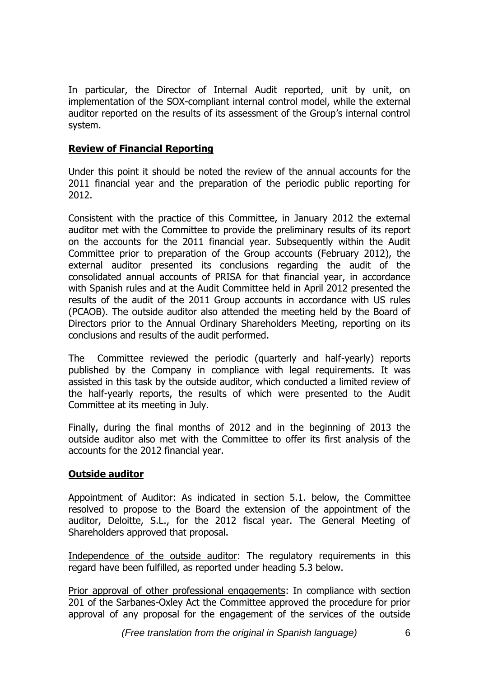In particular, the Director of Internal Audit reported, unit by unit, on implementation of the SOX-compliant internal control model, while the external auditor reported on the results of its assessment of the Group's internal control system.

### **Review of Financial Reporting**

Under this point it should be noted the review of the annual accounts for the 2011 financial year and the preparation of the periodic public reporting for 2012.

Consistent with the practice of this Committee, in January 2012 the external auditor met with the Committee to provide the preliminary results of its report on the accounts for the 2011 financial year. Subsequently within the Audit Committee prior to preparation of the Group accounts (February 2012), the external auditor presented its conclusions regarding the audit of the consolidated annual accounts of PRISA for that financial year, in accordance with Spanish rules and at the Audit Committee held in April 2012 presented the results of the audit of the 2011 Group accounts in accordance with US rules (PCAOB). The outside auditor also attended the meeting held by the Board of Directors prior to the Annual Ordinary Shareholders Meeting, reporting on its conclusions and results of the audit performed.

The Committee reviewed the periodic (quarterly and half-yearly) reports published by the Company in compliance with legal requirements. It was assisted in this task by the outside auditor, which conducted a limited review of the half-yearly reports, the results of which were presented to the Audit Committee at its meeting in July.

Finally, during the final months of 2012 and in the beginning of 2013 the outside auditor also met with the Committee to offer its first analysis of the accounts for the 2012 financial year.

#### **Outside auditor**

Appointment of Auditor: As indicated in section 5.1. below, the Committee resolved to propose to the Board the extension of the appointment of the auditor, Deloitte, S.L., for the 2012 fiscal year. The General Meeting of Shareholders approved that proposal.

Independence of the outside auditor: The regulatory requirements in this regard have been fulfilled, as reported under heading 5.3 below.

Prior approval of other professional engagements: In compliance with section 201 of the Sarbanes-Oxley Act the Committee approved the procedure for prior approval of any proposal for the engagement of the services of the outside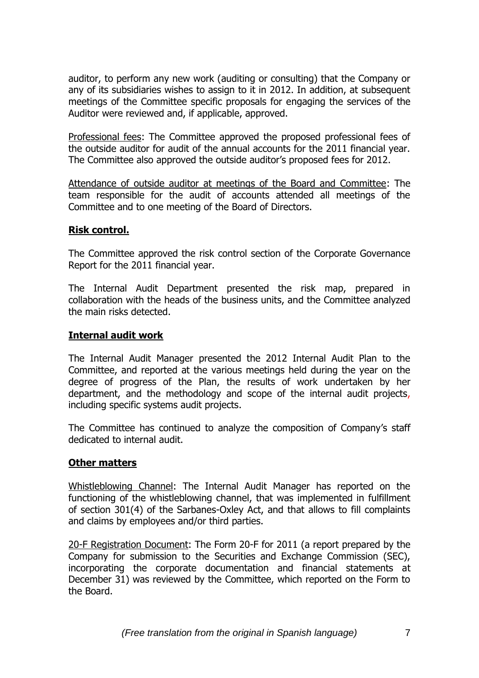auditor, to perform any new work (auditing or consulting) that the Company or any of its subsidiaries wishes to assign to it in 2012. In addition, at subsequent meetings of the Committee specific proposals for engaging the services of the Auditor were reviewed and, if applicable, approved.

Professional fees: The Committee approved the proposed professional fees of the outside auditor for audit of the annual accounts for the 2011 financial year. The Committee also approved the outside auditor's proposed fees for 2012.

Attendance of outside auditor at meetings of the Board and Committee: The team responsible for the audit of accounts attended all meetings of the Committee and to one meeting of the Board of Directors.

## **Risk control.**

The Committee approved the risk control section of the Corporate Governance Report for the 2011 financial year.

The Internal Audit Department presented the risk map, prepared in collaboration with the heads of the business units, and the Committee analyzed the main risks detected.

## **Internal audit work**

The Internal Audit Manager presented the 2012 Internal Audit Plan to the Committee, and reported at the various meetings held during the year on the degree of progress of the Plan, the results of work undertaken by her department, and the methodology and scope of the internal audit projects, including specific systems audit projects.

The Committee has continued to analyze the composition of Company's staff dedicated to internal audit.

#### **Other matters**

Whistleblowing Channel: The Internal Audit Manager has reported on the functioning of the whistleblowing channel, that was implemented in fulfillment of section 301(4) of the Sarbanes-Oxley Act, and that allows to fill complaints and claims by employees and/or third parties.

20-F Registration Document: The Form 20-F for 2011 (a report prepared by the Company for submission to the Securities and Exchange Commission (SEC), incorporating the corporate documentation and financial statements at December 31) was reviewed by the Committee, which reported on the Form to the Board.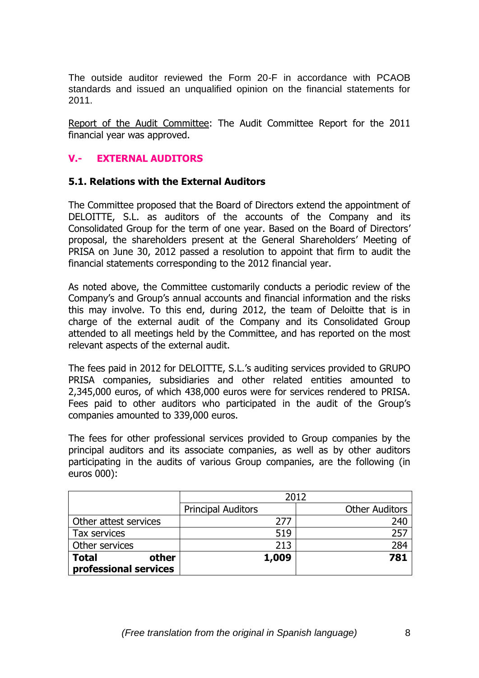The outside auditor reviewed the Form 20-F in accordance with PCAOB standards and issued an unqualified opinion on the financial statements for 2011.

Report of the Audit Committee: The Audit Committee Report for the 2011 financial year was approved.

## **V.- EXTERNAL AUDITORS**

#### **5.1. Relations with the External Auditors**

The Committee proposed that the Board of Directors extend the appointment of DELOITTE, S.L. as auditors of the accounts of the Company and its Consolidated Group for the term of one year. Based on the Board of Directors' proposal, the shareholders present at the General Shareholders' Meeting of PRISA on June 30, 2012 passed a resolution to appoint that firm to audit the financial statements corresponding to the 2012 financial year.

As noted above, the Committee customarily conducts a periodic review of the Company's and Group's annual accounts and financial information and the risks this may involve. To this end, during 2012, the team of Deloitte that is in charge of the external audit of the Company and its Consolidated Group attended to all meetings held by the Committee, and has reported on the most relevant aspects of the external audit.

The fees paid in 2012 for DELOITTE, S.L.'s auditing services provided to GRUPO PRISA companies, subsidiaries and other related entities amounted to 2,345,000 euros, of which 438,000 euros were for services rendered to PRISA. Fees paid to other auditors who participated in the audit of the Group's companies amounted to 339,000 euros.

The fees for other professional services provided to Group companies by the principal auditors and its associate companies, as well as by other auditors participating in the audits of various Group companies, are the following (in euros 000):

|                       | 2012                      |                       |
|-----------------------|---------------------------|-----------------------|
|                       | <b>Principal Auditors</b> | <b>Other Auditors</b> |
| Other attest services | 277                       | 240                   |
| Tax services          | 519                       | 257                   |
| Other services        | 213                       | 284                   |
| <b>Total</b><br>other | 1,009                     | 781                   |
| professional services |                           |                       |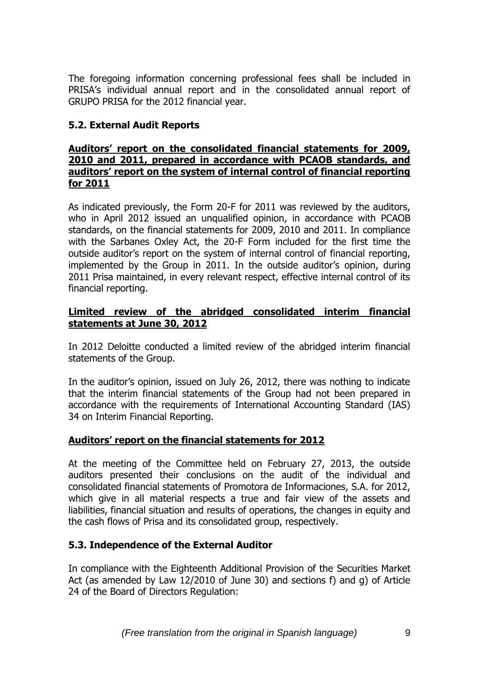The foregoing information concerning professional fees shall be included in PRISA's individual annual report and in the consolidated annual report of GRUPO PRISA for the 2012 financial year.

# **5.2. External Audit Reports**

#### **Auditors' report on the consolidated financial statements for 2009, 2010 and 2011, prepared in accordance with PCAOB standards, and auditors' report on the system of internal control of financial reporting for 2011**

As indicated previously, the Form 20-F for 2011 was reviewed by the auditors, who in April 2012 issued an unqualified opinion, in accordance with PCAOB standards, on the financial statements for 2009, 2010 and 2011. In compliance with the Sarbanes Oxley Act, the 20-F Form included for the first time the outside auditor's report on the system of internal control of financial reporting, implemented by the Group in 2011. In the outside auditor's opinion, during 2011 Prisa maintained, in every relevant respect, effective internal control of its financial reporting.

## **Limited review of the abridged consolidated interim financial statements at June 30, 2012**

In 2012 Deloitte conducted a limited review of the abridged interim financial statements of the Group.

In the auditor's opinion, issued on July 26, 2012, there was nothing to indicate that the interim financial statements of the Group had not been prepared in accordance with the requirements of International Accounting Standard (IAS) 34 on Interim Financial Reporting.

# **Auditors' report on the financial statements for 2012**

At the meeting of the Committee held on February 27, 2013, the outside auditors presented their conclusions on the audit of the individual and consolidated financial statements of Promotora de Informaciones, S.A. for 2012, which give in all material respects a true and fair view of the assets and liabilities, financial situation and results of operations, the changes in equity and the cash flows of Prisa and its consolidated group, respectively.

# **5.3. Independence of the External Auditor**

In compliance with the Eighteenth Additional Provision of the Securities Market Act (as amended by Law 12/2010 of June 30) and sections f) and g) of Article 24 of the Board of Directors Regulation: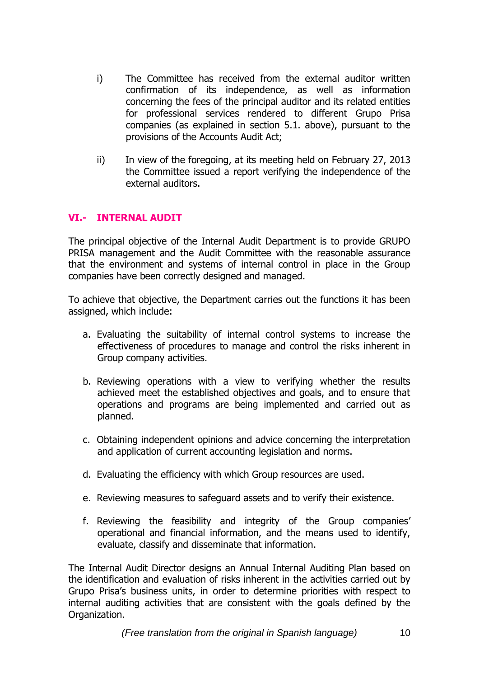- i) The Committee has received from the external auditor written confirmation of its independence, as well as information concerning the fees of the principal auditor and its related entities for professional services rendered to different Grupo Prisa companies (as explained in section 5.1. above), pursuant to the provisions of the Accounts Audit Act;
- ii) In view of the foregoing, at its meeting held on February 27, 2013 the Committee issued a report verifying the independence of the external auditors.

## **VI.- INTERNAL AUDIT**

The principal objective of the Internal Audit Department is to provide GRUPO PRISA management and the Audit Committee with the reasonable assurance that the environment and systems of internal control in place in the Group companies have been correctly designed and managed.

To achieve that objective, the Department carries out the functions it has been assigned, which include:

- a. Evaluating the suitability of internal control systems to increase the effectiveness of procedures to manage and control the risks inherent in Group company activities.
- b. Reviewing operations with a view to verifying whether the results achieved meet the established objectives and goals, and to ensure that operations and programs are being implemented and carried out as planned.
- c. Obtaining independent opinions and advice concerning the interpretation and application of current accounting legislation and norms.
- d. Evaluating the efficiency with which Group resources are used.
- e. Reviewing measures to safeguard assets and to verify their existence.
- f. Reviewing the feasibility and integrity of the Group companies' operational and financial information, and the means used to identify, evaluate, classify and disseminate that information.

The Internal Audit Director designs an Annual Internal Auditing Plan based on the identification and evaluation of risks inherent in the activities carried out by Grupo Prisa's business units, in order to determine priorities with respect to internal auditing activities that are consistent with the goals defined by the Organization.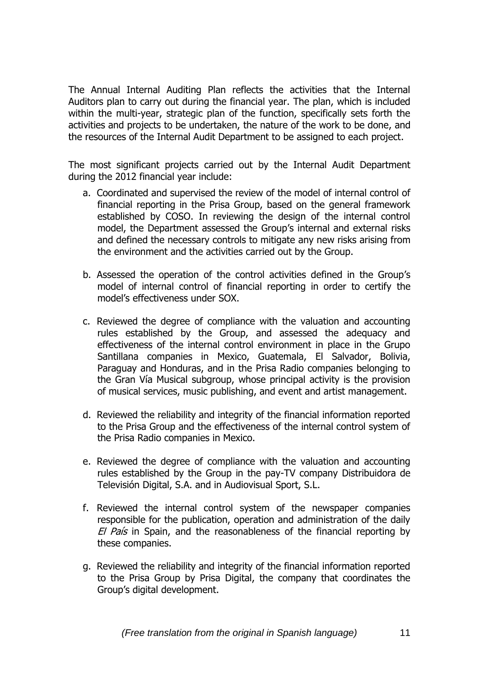The Annual Internal Auditing Plan reflects the activities that the Internal Auditors plan to carry out during the financial year. The plan, which is included within the multi-year, strategic plan of the function, specifically sets forth the activities and projects to be undertaken, the nature of the work to be done, and the resources of the Internal Audit Department to be assigned to each project.

The most significant projects carried out by the Internal Audit Department during the 2012 financial year include:

- a. Coordinated and supervised the review of the model of internal control of financial reporting in the Prisa Group, based on the general framework established by COSO. In reviewing the design of the internal control model, the Department assessed the Group's internal and external risks and defined the necessary controls to mitigate any new risks arising from the environment and the activities carried out by the Group.
- b. Assessed the operation of the control activities defined in the Group's model of internal control of financial reporting in order to certify the model's effectiveness under SOX.
- c. Reviewed the degree of compliance with the valuation and accounting rules established by the Group, and assessed the adequacy and effectiveness of the internal control environment in place in the Grupo Santillana companies in Mexico, Guatemala, El Salvador, Bolivia, Paraguay and Honduras, and in the Prisa Radio companies belonging to the Gran Vía Musical subgroup, whose principal activity is the provision of musical services, music publishing, and event and artist management.
- d. Reviewed the reliability and integrity of the financial information reported to the Prisa Group and the effectiveness of the internal control system of the Prisa Radio companies in Mexico.
- e. Reviewed the degree of compliance with the valuation and accounting rules established by the Group in the pay-TV company Distribuidora de Televisión Digital, S.A. and in Audiovisual Sport, S.L.
- f. Reviewed the internal control system of the newspaper companies responsible for the publication, operation and administration of the daily El País in Spain, and the reasonableness of the financial reporting by these companies.
- g. Reviewed the reliability and integrity of the financial information reported to the Prisa Group by Prisa Digital, the company that coordinates the Group's digital development.